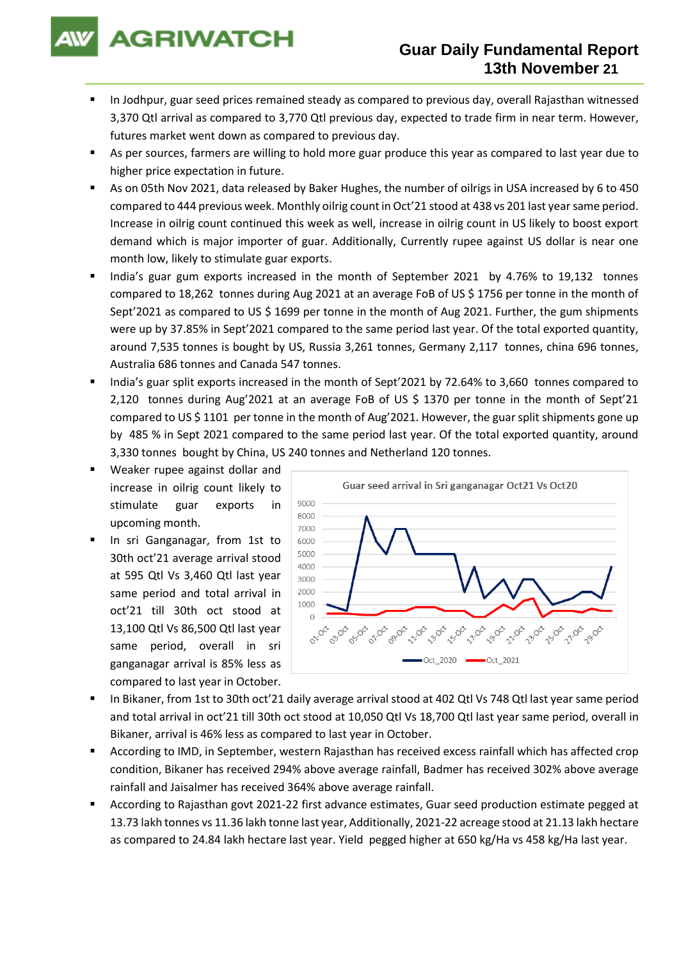# **AGRIWATCH**

## **Guar Daily Fundamental Report 13th November 21**

- In Jodhpur, guar seed prices remained steady as compared to previous day, overall Rajasthan witnessed 3,370 Qtl arrival as compared to 3,770 Qtl previous day, expected to trade firm in near term. However, futures market went down as compared to previous day.
- As per sources, farmers are willing to hold more guar produce this year as compared to last year due to higher price expectation in future.
- As on 05th Nov 2021, data released by Baker Hughes, the number of oilrigs in USA increased by 6 to 450 compared to 444 previous week. Monthly oilrig count in Oct'21 stood at 438 vs 201 last year same period. Increase in oilrig count continued this week as well, increase in oilrig count in US likely to boost export demand which is major importer of guar. Additionally, Currently rupee against US dollar is near one month low, likely to stimulate guar exports.
- India's guar gum exports increased in the month of September 2021 by 4.76% to 19,132 tonnes compared to 18,262 tonnes during Aug 2021 at an average FoB of US \$ 1756 per tonne in the month of Sept'2021 as compared to US \$ 1699 per tonne in the month of Aug 2021. Further, the gum shipments were up by 37.85% in Sept'2021 compared to the same period last year. Of the total exported quantity, around 7,535 tonnes is bought by US, Russia 3,261 tonnes, Germany 2,117 tonnes, china 696 tonnes, Australia 686 tonnes and Canada 547 tonnes.
- India's guar split exports increased in the month of Sept'2021 by 72.64% to 3,660 tonnes compared to 2,120 tonnes during Aug'2021 at an average FoB of US \$ 1370 per tonne in the month of Sept'21 compared to US \$ 1101 per tonne in the month of Aug'2021. However, the guar split shipments gone up by 485 % in Sept 2021 compared to the same period last year. Of the total exported quantity, around 3,330 tonnes bought by China, US 240 tonnes and Netherland 120 tonnes.
- Weaker rupee against dollar and increase in oilrig count likely to stimulate guar exports in upcoming month.
- In sri Ganganagar, from 1st to 30th oct'21 average arrival stood at 595 Qtl Vs 3,460 Qtl last year same period and total arrival in oct'21 till 30th oct stood at 13,100 Qtl Vs 86,500 Qtl last year same period, overall in sri ganganagar arrival is 85% less as compared to last year in October.



- In Bikaner, from 1st to 30th oct'21 daily average arrival stood at 402 Qtl Vs 748 Qtl last year same period and total arrival in oct'21 till 30th oct stood at 10,050 Qtl Vs 18,700 Qtl last year same period, overall in Bikaner, arrival is 46% less as compared to last year in October.
- According to IMD, in September, western Rajasthan has received excess rainfall which has affected crop condition, Bikaner has received 294% above average rainfall, Badmer has received 302% above average rainfall and Jaisalmer has received 364% above average rainfall.
- According to Rajasthan govt 2021-22 first advance estimates, Guar seed production estimate pegged at 13.73 lakh tonnes vs 11.36 lakh tonne last year, Additionally, 2021-22 acreage stood at 21.13 lakh hectare as compared to 24.84 lakh hectare last year. Yield pegged higher at 650 kg/Ha vs 458 kg/Ha last year.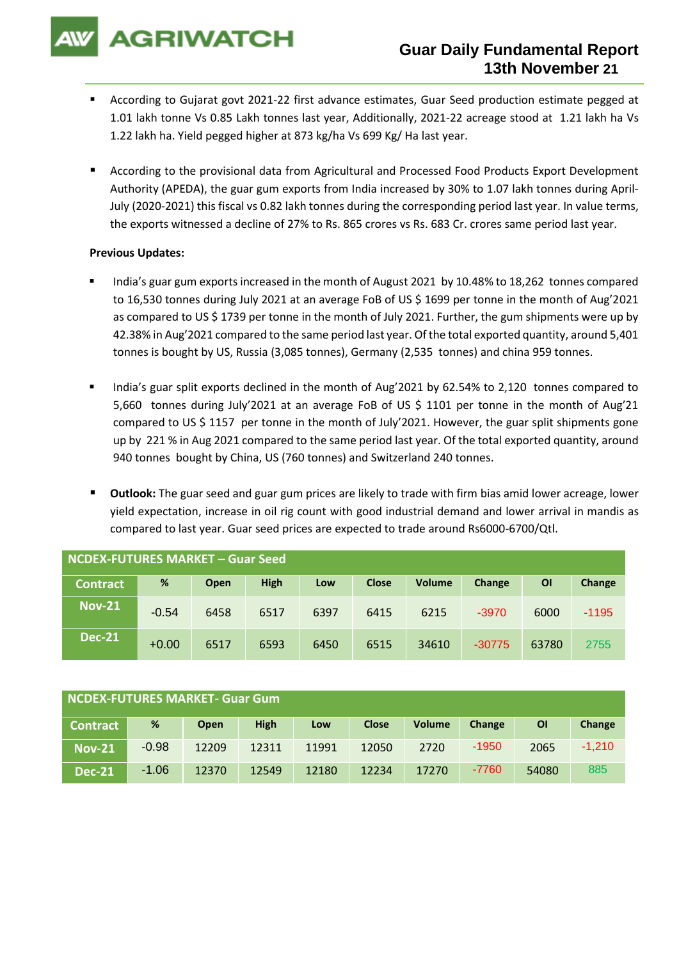**AGRIWATCH** 

- According to Gujarat govt 2021-22 first advance estimates, Guar Seed production estimate pegged at 1.01 lakh tonne Vs 0.85 Lakh tonnes last year, Additionally, 2021-22 acreage stood at 1.21 lakh ha Vs 1.22 lakh ha. Yield pegged higher at 873 kg/ha Vs 699 Kg/ Ha last year.
- According to the provisional data from Agricultural and Processed Food Products Export Development Authority (APEDA), the guar gum exports from India increased by 30% to 1.07 lakh tonnes during April-July (2020-2021) this fiscal vs 0.82 lakh tonnes during the corresponding period last year. In value terms, the exports witnessed a decline of 27% to Rs. 865 crores vs Rs. 683 Cr. crores same period last year.

### **Previous Updates:**

- India's guar gum exports increased in the month of August 2021 by 10.48% to 18,262 tonnes compared to 16,530 tonnes during July 2021 at an average FoB of US \$ 1699 per tonne in the month of Aug'2021 as compared to US \$ 1739 per tonne in the month of July 2021. Further, the gum shipments were up by 42.38% in Aug'2021 compared to the same period last year. Of the total exported quantity, around 5,401 tonnes is bought by US, Russia (3,085 tonnes), Germany (2,535 tonnes) and china 959 tonnes.
- India's guar split exports declined in the month of Aug'2021 by 62.54% to 2,120 tonnes compared to 5,660 tonnes during July'2021 at an average FoB of US \$ 1101 per tonne in the month of Aug'21 compared to US \$ 1157 per tonne in the month of July'2021. However, the guar split shipments gone up by 221 % in Aug 2021 compared to the same period last year. Of the total exported quantity, around 940 tonnes bought by China, US (760 tonnes) and Switzerland 240 tonnes.
- **Outlook:** The guar seed and guar gum prices are likely to trade with firm bias amid lower acreage, lower yield expectation, increase in oil rig count with good industrial demand and lower arrival in mandis as compared to last year. Guar seed prices are expected to trade around Rs6000-6700/Qtl.

| NCDEX-FUTURES MARKET - Guar Seed |         |      |             |      |              |               |          |           |         |
|----------------------------------|---------|------|-------------|------|--------------|---------------|----------|-----------|---------|
| <b>Contract</b>                  | %       | Open | <b>High</b> | Low  | <b>Close</b> | <b>Volume</b> | Change   | <b>OI</b> | Change  |
| <b>Nov-21</b>                    | $-0.54$ | 6458 | 6517        | 6397 | 6415         | 6215          | $-3970$  | 6000      | $-1195$ |
| <b>Dec-21</b>                    | $+0.00$ | 6517 | 6593        | 6450 | 6515         | 34610         | $-30775$ | 63780     | 2755    |

| NCDEX-FUTURES MARKET- Guar Gum |         |             |             |       |              |               |         |                |          |
|--------------------------------|---------|-------------|-------------|-------|--------------|---------------|---------|----------------|----------|
| <b>Contract</b>                | %       | <b>Open</b> | <b>High</b> | Low   | <b>Close</b> | <b>Volume</b> | Change  | $\overline{O}$ | Change   |
| <b>Nov-21</b>                  | $-0.98$ | 12209       | 12311       | 11991 | 12050        | 2720          | $-1950$ | 2065           | $-1,210$ |
| <b>Dec-21</b>                  | $-1.06$ | 12370       | 12549       | 12180 | 12234        | 17270         | $-7760$ | 54080          | 885      |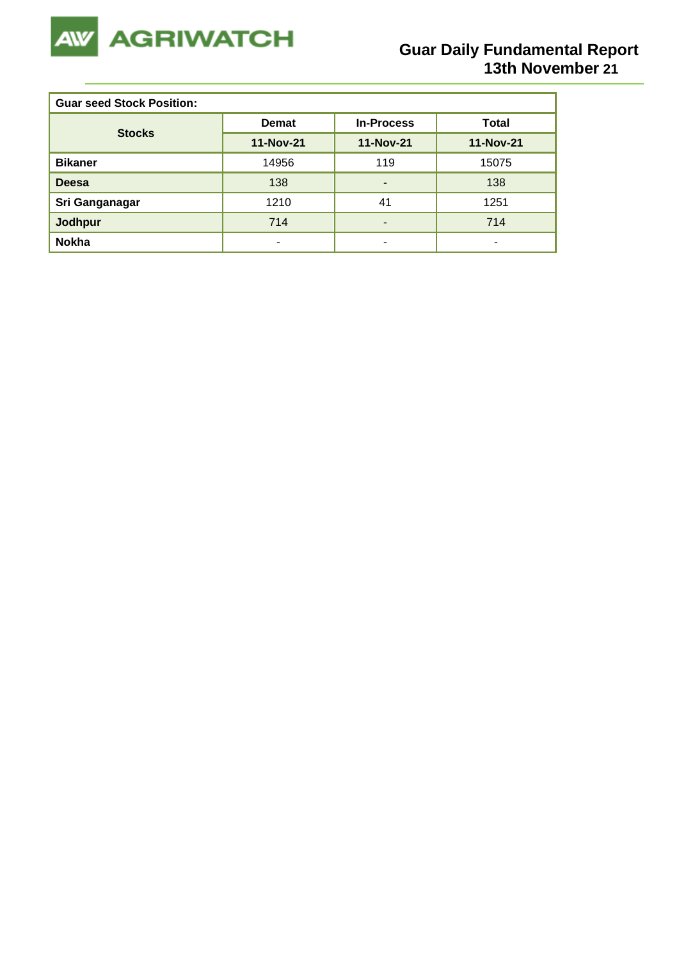

| <b>Guar seed Stock Position:</b> |              |                   |                  |  |  |  |  |
|----------------------------------|--------------|-------------------|------------------|--|--|--|--|
| <b>Stocks</b>                    | <b>Demat</b> | <b>In-Process</b> | Total            |  |  |  |  |
|                                  | 11-Nov-21    | <b>11-Nov-21</b>  | <b>11-Nov-21</b> |  |  |  |  |
| <b>Bikaner</b>                   | 14956        | 119               | 15075            |  |  |  |  |
| <b>Deesa</b>                     | 138          | -                 | 138              |  |  |  |  |
| Sri Ganganagar                   | 1210         | 41                | 1251             |  |  |  |  |
| <b>Jodhpur</b>                   | 714          | -                 | 714              |  |  |  |  |
| <b>Nokha</b>                     | ۰            | ۰                 | ۰                |  |  |  |  |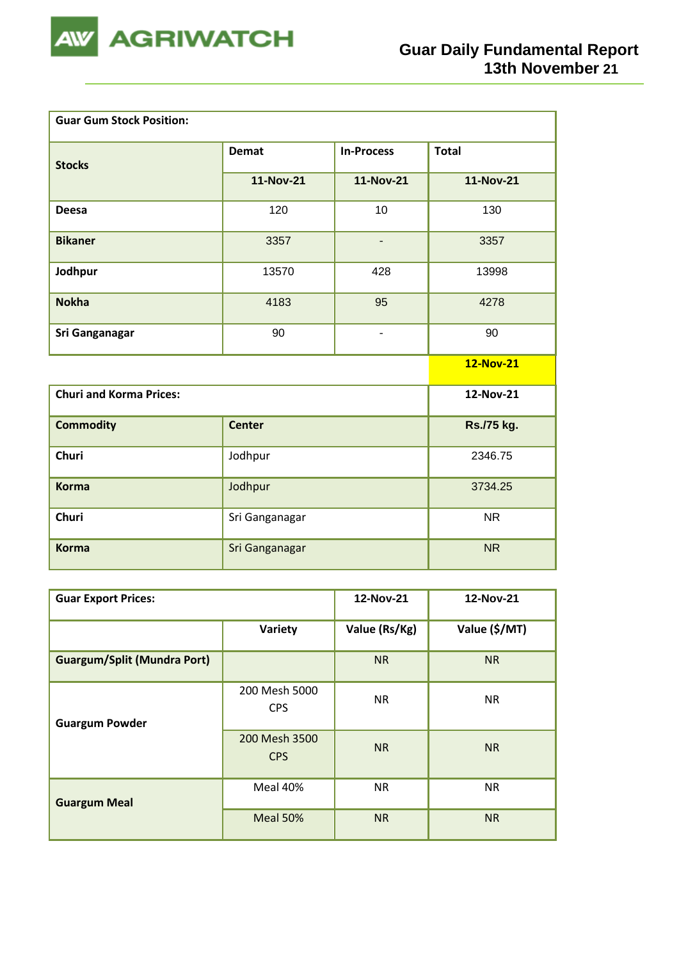

| <b>Guar Gum Stock Position:</b> |                  |                          |                  |
|---------------------------------|------------------|--------------------------|------------------|
| <b>Stocks</b>                   | <b>Demat</b>     | <b>In-Process</b>        | <b>Total</b>     |
|                                 | <b>11-Nov-21</b> | <b>11-Nov-21</b>         | <b>11-Nov-21</b> |
| <b>Deesa</b>                    | 120              | 10                       | 130              |
| <b>Bikaner</b>                  | 3357             | $\overline{\phantom{a}}$ | 3357             |
| Jodhpur                         | 13570            | 428                      | 13998            |
| <b>Nokha</b>                    | 4183             | 95                       | 4278             |
| Sri Ganganagar                  | 90               | $\overline{\phantom{0}}$ | 90               |
|                                 |                  |                          | 12-Nov-21        |
| <b>Churi and Korma Prices:</b>  |                  |                          | 12-Nov-21        |
| <b>Commodity</b>                | <b>Center</b>    |                          | Rs./75 kg.       |
| Churi                           | Jodhpur          |                          | 2346.75          |
| <b>Korma</b>                    | Jodhpur          |                          | 3734.25          |
| Churi                           | Sri Ganganagar   |                          | <b>NR</b>        |
| <b>Korma</b>                    | Sri Ganganagar   |                          | <b>NR</b>        |

| <b>Guar Export Prices:</b>         | 12-Nov-21                   | 12-Nov-21     |               |
|------------------------------------|-----------------------------|---------------|---------------|
|                                    | Variety                     | Value (Rs/Kg) | Value (\$/MT) |
| <b>Guargum/Split (Mundra Port)</b> |                             | <b>NR</b>     | <b>NR</b>     |
| <b>Guargum Powder</b>              | 200 Mesh 5000<br><b>CPS</b> | <b>NR</b>     | <b>NR</b>     |
|                                    | 200 Mesh 3500<br><b>CPS</b> | <b>NR</b>     | <b>NR</b>     |
| <b>Guargum Meal</b>                | Meal 40%                    | <b>NR</b>     | <b>NR</b>     |
|                                    | Meal 50%                    | <b>NR</b>     | <b>NR</b>     |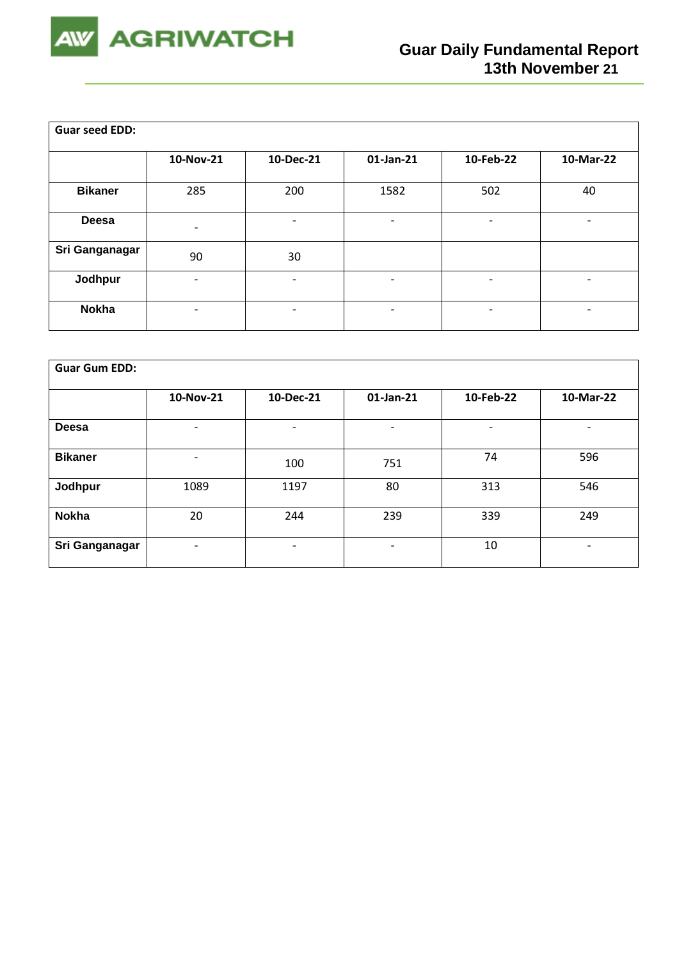

| <b>Guar seed EDD:</b> |                          |                              |                          |           |           |
|-----------------------|--------------------------|------------------------------|--------------------------|-----------|-----------|
|                       | 10-Nov-21                | 10-Dec-21                    | $01$ -Jan-21             | 10-Feb-22 | 10-Mar-22 |
| <b>Bikaner</b>        | 285                      | 200                          | 1582                     | 502       | 40        |
| Deesa                 | $\overline{\phantom{0}}$ | -                            | ٠                        | -         |           |
| Sri Ganganagar        | 90                       | 30                           |                          |           |           |
| Jodhpur               |                          | $\overline{\phantom{0}}$     | $\overline{\phantom{a}}$ | -         | -         |
| <b>Nokha</b>          | $\overline{\phantom{0}}$ | $\qquad \qquad \blacksquare$ | $\overline{\phantom{a}}$ | -         | -         |

| <b>Guar Gum EDD:</b> |                          |                          |                              |           |                          |  |  |  |
|----------------------|--------------------------|--------------------------|------------------------------|-----------|--------------------------|--|--|--|
|                      | 10-Nov-21                | 10-Dec-21                | 01-Jan-21                    | 10-Feb-22 | 10-Mar-22                |  |  |  |
| <b>Deesa</b>         | ٠                        | $\overline{\phantom{0}}$ |                              | -         | -                        |  |  |  |
| <b>Bikaner</b>       | ٠                        | 100                      | 751                          | 74        | 596                      |  |  |  |
| Jodhpur              | 1089                     | 1197                     | 80                           | 313       | 546                      |  |  |  |
| <b>Nokha</b>         | 20                       | 244                      | 239                          | 339       | 249                      |  |  |  |
| Sri Ganganagar       | $\overline{\phantom{a}}$ | $\overline{\phantom{0}}$ | $\qquad \qquad \blacksquare$ | 10        | $\overline{\phantom{a}}$ |  |  |  |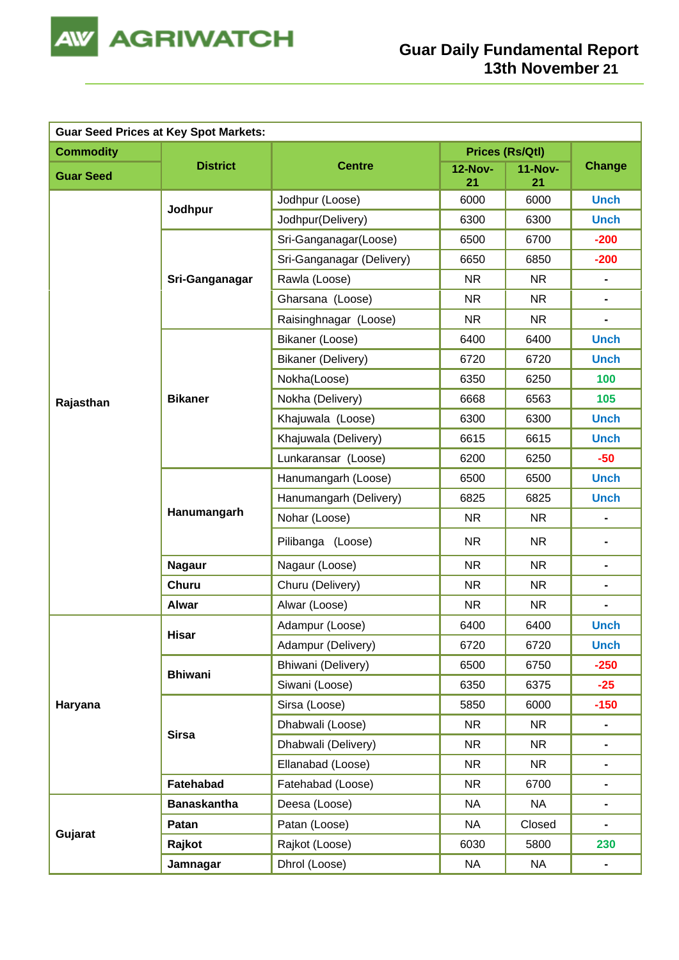

| <b>Guar Seed Prices at Key Spot Markets:</b> |                    |                           |                      |                      |                              |  |  |
|----------------------------------------------|--------------------|---------------------------|----------------------|----------------------|------------------------------|--|--|
| <b>Commodity</b>                             |                    |                           | Prices (Rs/Qtl)      |                      |                              |  |  |
| <b>Guar Seed</b>                             | <b>District</b>    | <b>Centre</b>             | <b>12-Nov-</b><br>21 | <b>11-Nov-</b><br>21 | <b>Change</b>                |  |  |
|                                              | Jodhpur            | Jodhpur (Loose)           | 6000                 | 6000                 | <b>Unch</b>                  |  |  |
|                                              |                    | Jodhpur(Delivery)         | 6300                 | 6300                 | <b>Unch</b>                  |  |  |
|                                              |                    | Sri-Ganganagar(Loose)     | 6500                 | 6700                 | $-200$                       |  |  |
|                                              |                    | Sri-Ganganagar (Delivery) | 6650                 | 6850                 | $-200$                       |  |  |
|                                              | Sri-Ganganagar     | Rawla (Loose)             | <b>NR</b>            | <b>NR</b>            | $\blacksquare$               |  |  |
|                                              |                    | Gharsana (Loose)          | <b>NR</b>            | <b>NR</b>            | $\qquad \qquad \blacksquare$ |  |  |
|                                              |                    | Raisinghnagar (Loose)     | <b>NR</b>            | <b>NR</b>            | $\blacksquare$               |  |  |
|                                              |                    | Bikaner (Loose)           | 6400                 | 6400                 | <b>Unch</b>                  |  |  |
|                                              |                    | <b>Bikaner (Delivery)</b> | 6720                 | 6720                 | <b>Unch</b>                  |  |  |
|                                              |                    | Nokha(Loose)              | 6350                 | 6250                 | 100                          |  |  |
| Rajasthan                                    | <b>Bikaner</b>     | Nokha (Delivery)          | 6668                 | 6563                 | 105                          |  |  |
|                                              |                    | Khajuwala (Loose)         | 6300                 | 6300                 | <b>Unch</b>                  |  |  |
|                                              |                    | Khajuwala (Delivery)      | 6615                 | 6615                 | <b>Unch</b>                  |  |  |
|                                              |                    | Lunkaransar (Loose)       | 6200                 | 6250                 | $-50$                        |  |  |
|                                              |                    | Hanumangarh (Loose)       | 6500                 | 6500                 | <b>Unch</b>                  |  |  |
|                                              | Hanumangarh        | Hanumangarh (Delivery)    | 6825                 | 6825                 | <b>Unch</b>                  |  |  |
|                                              |                    | Nohar (Loose)             | <b>NR</b>            | <b>NR</b>            | $\blacksquare$               |  |  |
|                                              |                    | Pilibanga (Loose)         | <b>NR</b>            | <b>NR</b>            | $\blacksquare$               |  |  |
|                                              | <b>Nagaur</b>      | Nagaur (Loose)            | <b>NR</b>            | <b>NR</b>            | $\blacksquare$               |  |  |
|                                              | <b>Churu</b>       | Churu (Delivery)          | <b>NR</b>            | <b>NR</b>            | $\blacksquare$               |  |  |
|                                              | <b>Alwar</b>       | Alwar (Loose)             | <b>NR</b>            | <b>NR</b>            | $\blacksquare$               |  |  |
|                                              |                    | Adampur (Loose)           | 6400                 | 6400                 | <b>Unch</b>                  |  |  |
|                                              | <b>Hisar</b>       | Adampur (Delivery)        | 6720                 | 6720                 | <b>Unch</b>                  |  |  |
|                                              | <b>Bhiwani</b>     | Bhiwani (Delivery)        | 6500                 | 6750                 | $-250$                       |  |  |
|                                              |                    | Siwani (Loose)            | 6350                 | 6375                 | $-25$                        |  |  |
| Haryana                                      |                    | Sirsa (Loose)             | 5850                 | 6000                 | $-150$                       |  |  |
|                                              |                    | Dhabwali (Loose)          | <b>NR</b>            | <b>NR</b>            | $\blacksquare$               |  |  |
|                                              | <b>Sirsa</b>       | Dhabwali (Delivery)       | <b>NR</b>            | <b>NR</b>            | $\blacksquare$               |  |  |
|                                              |                    | Ellanabad (Loose)         | <b>NR</b>            | <b>NR</b>            | $\blacksquare$               |  |  |
|                                              | Fatehabad          | Fatehabad (Loose)         | <b>NR</b>            | 6700                 | $\blacksquare$               |  |  |
|                                              | <b>Banaskantha</b> | Deesa (Loose)             | <b>NA</b>            | <b>NA</b>            | $\blacksquare$               |  |  |
|                                              | Patan              | Patan (Loose)             | <b>NA</b>            | Closed               | $\blacksquare$               |  |  |
| Gujarat                                      | Rajkot             | Rajkot (Loose)            | 6030                 | 5800                 | 230                          |  |  |
|                                              | Jamnagar           | Dhrol (Loose)             | <b>NA</b>            | <b>NA</b>            | $\blacksquare$               |  |  |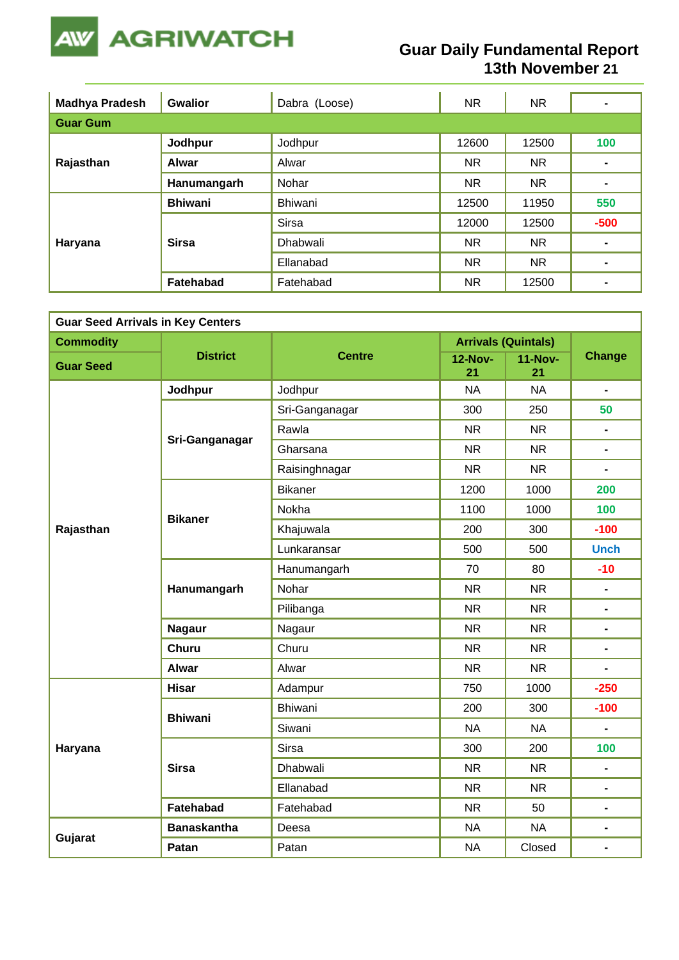

### **Guar Daily Fundamental Report 13th November 21**

| <b>Madhya Pradesh</b> | <b>Gwalior</b> | Dabra (Loose)   | NR.       | NR.       | $\blacksquare$ |  |  |  |  |
|-----------------------|----------------|-----------------|-----------|-----------|----------------|--|--|--|--|
| <b>Guar Gum</b>       |                |                 |           |           |                |  |  |  |  |
| Rajasthan             | Jodhpur        | Jodhpur         | 12600     | 12500     | 100            |  |  |  |  |
|                       | <b>Alwar</b>   | Alwar           | <b>NR</b> | NR.       |                |  |  |  |  |
|                       | Hanumangarh    | Nohar           | <b>NR</b> | <b>NR</b> | $\blacksquare$ |  |  |  |  |
|                       | <b>Bhiwani</b> | Bhiwani         | 12500     | 11950     | 550            |  |  |  |  |
|                       |                | <b>Sirsa</b>    | 12000     | 12500     | $-500$         |  |  |  |  |
| Haryana               | <b>Sirsa</b>   | <b>Dhabwali</b> | <b>NR</b> | NR.       | $\blacksquare$ |  |  |  |  |
|                       |                | Ellanabad       | <b>NR</b> | NR.       | $\blacksquare$ |  |  |  |  |
|                       | Fatehabad      | Fatehabad       | <b>NR</b> | 12500     | $\blacksquare$ |  |  |  |  |

| <b>Guar Seed Arrivals in Key Centers</b> |                    |                |                      |                            |                |  |  |  |
|------------------------------------------|--------------------|----------------|----------------------|----------------------------|----------------|--|--|--|
| <b>Commodity</b>                         |                    |                |                      | <b>Arrivals (Quintals)</b> |                |  |  |  |
| <b>Guar Seed</b>                         | <b>District</b>    | <b>Centre</b>  | <b>12-Nov-</b><br>21 | <b>11-Nov-</b><br>21       | <b>Change</b>  |  |  |  |
|                                          | Jodhpur            | Jodhpur        | <b>NA</b>            | <b>NA</b>                  | $\blacksquare$ |  |  |  |
|                                          |                    | Sri-Ganganagar | 300                  | 250                        | 50             |  |  |  |
|                                          | Sri-Ganganagar     | Rawla          | <b>NR</b>            | <b>NR</b>                  | $\blacksquare$ |  |  |  |
|                                          |                    | Gharsana       | <b>NR</b>            | <b>NR</b>                  | $\blacksquare$ |  |  |  |
|                                          |                    | Raisinghnagar  | <b>NR</b>            | <b>NR</b>                  |                |  |  |  |
|                                          |                    | <b>Bikaner</b> | 1200                 | 1000                       | 200            |  |  |  |
|                                          | <b>Bikaner</b>     | Nokha          | 1100                 | 1000                       | 100            |  |  |  |
| Rajasthan                                |                    | Khajuwala      | 200                  | 300                        | $-100$         |  |  |  |
|                                          |                    | Lunkaransar    | 500                  | 500                        | <b>Unch</b>    |  |  |  |
|                                          | Hanumangarh        | Hanumangarh    | 70                   | 80                         | $-10$          |  |  |  |
|                                          |                    | Nohar          | <b>NR</b>            | <b>NR</b>                  | Ξ.             |  |  |  |
|                                          |                    | Pilibanga      | <b>NR</b>            | <b>NR</b>                  | $\blacksquare$ |  |  |  |
|                                          | <b>Nagaur</b>      | Nagaur         | <b>NR</b>            | <b>NR</b>                  | $\blacksquare$ |  |  |  |
|                                          | <b>Churu</b>       | Churu          | <b>NR</b>            | <b>NR</b>                  | $\blacksquare$ |  |  |  |
|                                          | <b>Alwar</b>       | Alwar          | <b>NR</b>            | <b>NR</b>                  |                |  |  |  |
|                                          | <b>Hisar</b>       | Adampur        | 750                  | 1000                       | $-250$         |  |  |  |
|                                          | <b>Bhiwani</b>     | <b>Bhiwani</b> | 200                  | 300                        | $-100$         |  |  |  |
|                                          |                    | Siwani         | <b>NA</b>            | <b>NA</b>                  |                |  |  |  |
| Haryana                                  |                    | Sirsa          | 300                  | 200                        | 100            |  |  |  |
|                                          | <b>Sirsa</b>       | Dhabwali       | <b>NR</b>            | <b>NR</b>                  | $\blacksquare$ |  |  |  |
|                                          |                    | Ellanabad      | <b>NR</b>            | <b>NR</b>                  | $\blacksquare$ |  |  |  |
|                                          | <b>Fatehabad</b>   | Fatehabad      | <b>NR</b>            | 50                         | Ξ.             |  |  |  |
|                                          | <b>Banaskantha</b> | Deesa          | <b>NA</b>            | <b>NA</b>                  | $\blacksquare$ |  |  |  |
| Gujarat                                  | Patan              | Patan          | <b>NA</b>            | Closed                     | $\blacksquare$ |  |  |  |